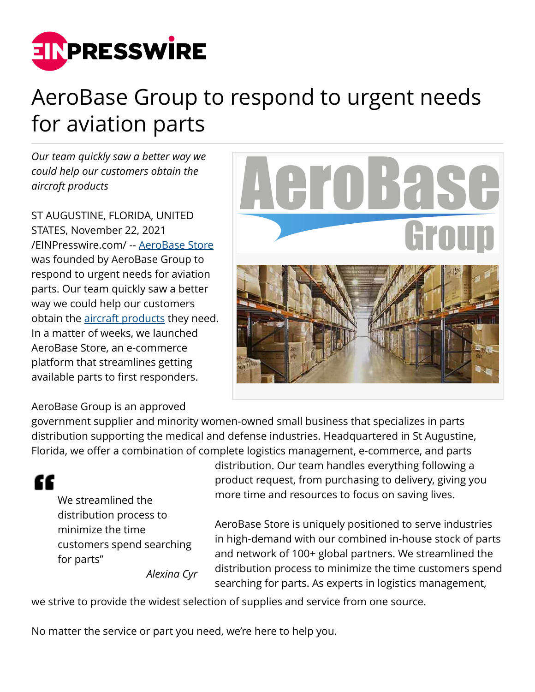

## AeroBase Group to respond to urgent needs for aviation parts

*Our team quickly saw a better way we could help our customers obtain the aircraft products*

ST AUGUSTINE, FLORIDA, UNITED STATES, November 22, 2021 [/EINPresswire.com/](http://www.einpresswire.com) -- [AeroBase Store](https://aerobase.store/) was founded by AeroBase Group to respond to urgent needs for aviation parts. Our team quickly saw a better way we could help our customers obtain the **aircraft** products they need. In a matter of weeks, we launched AeroBase Store, an e-commerce platform that streamlines getting available parts to first responders.



AeroBase Group is an approved

government supplier and minority women-owned small business that specializes in parts distribution supporting the medical and defense industries. Headquartered in St Augustine, Florida, we offer a combination of complete logistics management, e-commerce, and parts



We streamlined the distribution process to minimize the time customers spend searching for parts" *Alexina Cyr* distribution. Our team handles everything following a product request, from purchasing to delivery, giving you more time and resources to focus on saving lives.

AeroBase Store is uniquely positioned to serve industries in high-demand with our combined in-house stock of parts and network of 100+ global partners. We streamlined the distribution process to minimize the time customers spend searching for parts. As experts in logistics management,

we strive to provide the widest selection of supplies and service from one source.

No matter the service or part you need, we're here to help you.